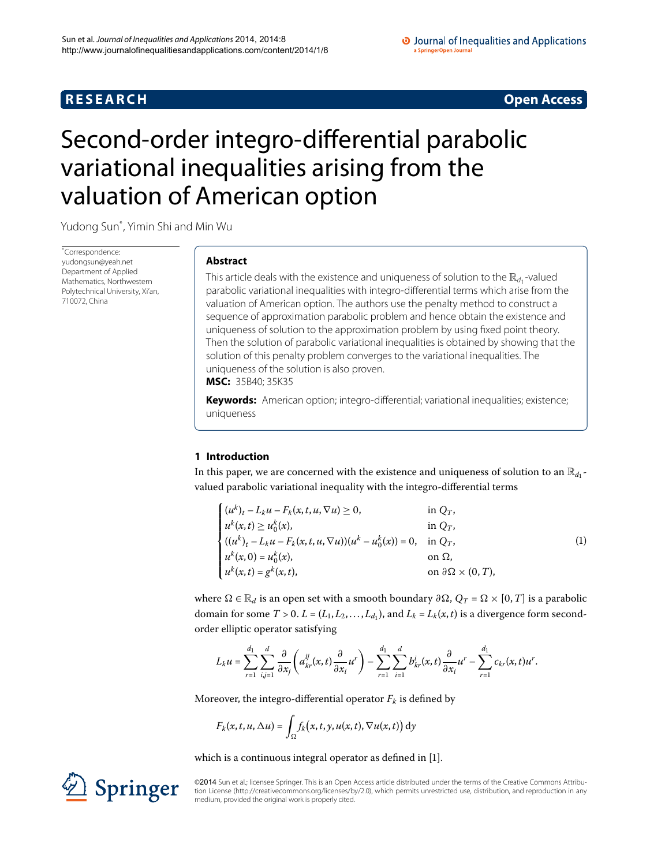# **R E S E A R C H Open Access**

#### O Journal of Inequalities and Applications a SpringerOpen Journa

# <span id="page-0-0"></span>Second-order integro-differential parabolic variational inequalities arising from the valuation of American option

Yudong Su[n\\*](#page-0-0) , Yimin Shi and Min Wu

\* Correspondence: [yudongsun@yeah.net](mailto:yudongsun@yeah.net) Department of Applied Mathematics, Northwestern Polytechnical University, Xi'an, 710072, China

# **Abstract**

This article deals with the existence and uniqueness of solution to the  $\mathbb{R}_{d_1}$ -valued parabolic variational inequalities with integro-differential terms which arise from the valuation of American option. The authors use the penalty method to construct a sequence of approximation parabolic problem and hence obtain the existence and uniqueness of solution to the approximation problem by using fixed point theory. Then the solution of parabolic variational inequalities is obtained by showing that the solution of this penalty problem converges to the variational inequalities. The uniqueness of the solution is also proven.

**MSC:** 35B40; 35K35

**Keywords:** American option; integro-differential; variational inequalities; existence; uniqueness

# **1 Introduction**

In this paper, we are concerned with the existence and uniqueness of solution to an  $\mathbb{R}_{d_1}$ valued parabolic variational inequality with the integro-differential terms

<span id="page-0-1"></span>

|                                                                                                                                                                                                                                                                                                                                      |                                      | $\left( 1\right)$ |
|--------------------------------------------------------------------------------------------------------------------------------------------------------------------------------------------------------------------------------------------------------------------------------------------------------------------------------------|--------------------------------------|-------------------|
|                                                                                                                                                                                                                                                                                                                                      |                                      |                   |
| $\begin{cases} (u^k)_t - L_k u - F_k(x, t, u, \nabla u) \ge 0, & \text{in } Q_T, \\ u^k(x, t) \ge u_0^k(x), & \text{in } Q_T, \\ ((u^k)_t - L_k u - F_k(x, t, u, \nabla u))(u^k - u_0^k(x)) = 0, & \text{in } Q_T, \\ u^k(x, 0) = u_0^k(x), & \text{on } \Omega, \\ u^k(x, t) = g^k(x, t), & \text{on } \partial \Omega \end{cases}$ | on $\partial \Omega \times (0, T)$ , |                   |

where  $\Omega \in \mathbb{R}_d$  is an open set with a smooth boundary  $\partial \Omega$ ,  $Q_T = \Omega \times [0, T]$  is a parabolic domain for some  $T > 0$ .  $L = (L_1, L_2, \ldots, L_{d_1})$ , and  $L_k = L_k(x, t)$  is a divergence form secondorder elliptic operator satisfying

$$
L_k u = \sum_{r=1}^{d_1} \sum_{i,j=1}^d \frac{\partial}{\partial x_j} \left( a_{kr}^{ij}(x,t) \frac{\partial}{\partial x_i} u^r \right) - \sum_{r=1}^{d_1} \sum_{i=1}^d b_{kr}^i(x,t) \frac{\partial}{\partial x_i} u^r - \sum_{r=1}^{d_1} c_{kr}(x,t) u^r.
$$

Moreover, the integro-differential operator  $F_k$  is defined by

$$
F_k(x, t, u, \Delta u) = \int_{\Omega} f_k(x, t, y, u(x, t), \nabla u(x, t)) dy
$$

which is a continuous integral operator as defined in [\[](#page-12-0)1].



©2014 Sun et al.; licensee Springer. This is an Open Access article distributed under the terms of the Creative Commons Attribution License ([http://creativecommons.org/licenses/by/2.0\)](http://creativecommons.org/licenses/by/2.0), which permits unrestricted use, distribution, and reproduction in any medium, provided the original work is properly cited.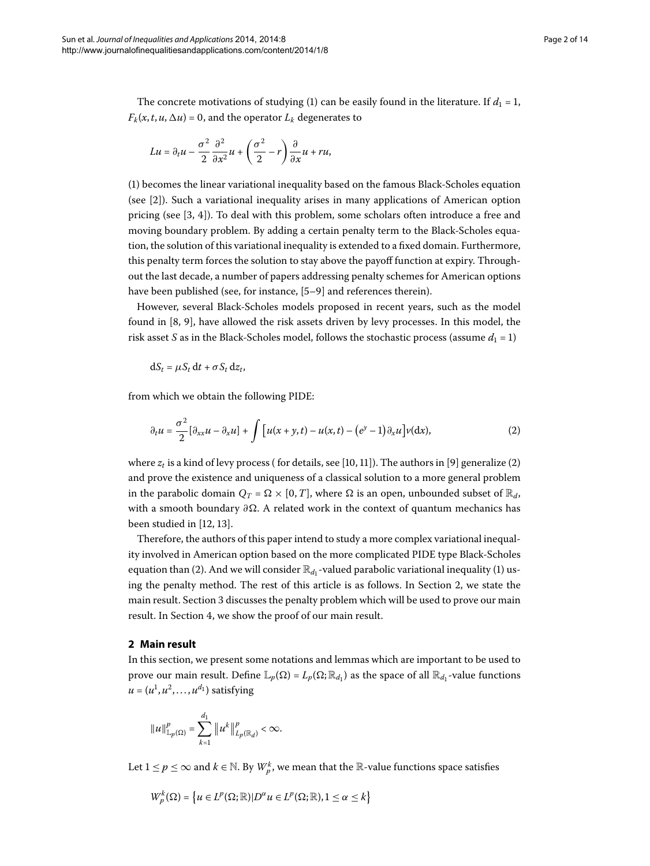The concrete motivations of studying [\(](#page-0-1)1) can be easily found in the literature. If  $d_1 = 1$ ,  $F_k(x, t, u, \Delta u) = 0$ , and the operator  $L_k$  degenerates to

$$
Lu = \partial_t u - \frac{\sigma^2}{2} \frac{\partial^2}{\partial x^2} u + \left(\frac{\sigma^2}{2} - r\right) \frac{\partial}{\partial x} u + r u,
$$

([\)](#page-0-1) becomes the linear variational inequality based on the famous Black-Scholes equation (see [\[](#page-12-1)]). Such a variational inequality arises in many applications of American option pricing (see  $[3, 4]$  $[3, 4]$  $[3, 4]$ ). To deal with this problem, some scholars often introduce a free and moving boundary problem. By adding a certain penalty term to the Black-Scholes equation, the solution of this variational inequality is extended to a fixed domain. Furthermore, this penalty term forces the solution to stay above the payoff function at expiry. Throughout the last decade, a number of papers addressing penalty schemes for American options have been published (see, for instance, [5[–](#page-12-4)9[\]](#page-12-5) and references therein).

However, several Black-Scholes models proposed in recent years, such as the model found in  $[8, 9]$  $[8, 9]$  $[8, 9]$  $[8, 9]$ , have allowed the risk assets driven by levy processes. In this model, the risk asset *S* as in the Black-Scholes model, follows the stochastic process (assume  $d_1 = 1$ )

<span id="page-1-0"></span>
$$
dS_t = \mu S_t dt + \sigma S_t dz_t,
$$

from which we obtain the following PIDE:

$$
\partial_t u = \frac{\sigma^2}{2} [\partial_{xx} u - \partial_x u] + \int \left[ u(x+y,t) - u(x,t) - (e^y - 1) \partial_x u \right] v(\mathrm{d}x),\tag{2}
$$

where  $z_t$  is a kind of levy process (for details[,](#page-12-7) see [10, 11[\]](#page-12-8)). The authors in [9] generalize [\(](#page-1-0)2) and prove the existence and uniqueness of a classical solution to a more general problem in the parabolic domain  $Q_T = \Omega \times [0, T]$ , where  $\Omega$  is an open, unbounded subset of  $\mathbb{R}_d$ , with a smooth boundary ∂Ω. A related work in the context of quantum mechanics has been studied in  $[12, 13]$ .

<span id="page-1-1"></span>Therefore, the authors of this paper intend to study a more complex variational inequality involved in American option based on the more complicated PIDE type Black-Scholes equation than (2[\)](#page-1-0). And we will consider  $\mathbb{R}_{d_1}$ -valued parabolic variational inequality [\(](#page-0-1)1) using the penalty method. The rest of this article is as follows. In Section 2, we state the main result. Section 3 discusses the penalty problem which will be used to prove our main result. In Section 4[,](#page-11-0) we show the proof of our main result.

### **2 Main result**

In this section, we present some notations and lemmas which are important to be used to prove our main result. Define  $\mathbb{L}_p(\Omega) = L_p(\Omega; \mathbb{R}_{d_1})$  as the space of all  $\mathbb{R}_{d_1}$ -value functions  $u = (u^1, u^2, \dots, u^{d_1})$  satisfying

$$
||u||_{\mathbb{L}_p(\Omega)}^p = \sum_{k=1}^{d_1} ||u^k||_{L_p(\mathbb{R}_d)}^p < \infty.
$$

Let  $1 \leq p \leq \infty$  and  $k \in \mathbb{N}$ . By  $W_p^k$ , we mean that the  $\mathbb{R}$ -value functions space satisfies

$$
W_p^k(\Omega) = \left\{ u \in L^p(\Omega; \mathbb{R}) | D^{\alpha} u \in L^p(\Omega; \mathbb{R}), 1 \leq \alpha \leq k \right\}
$$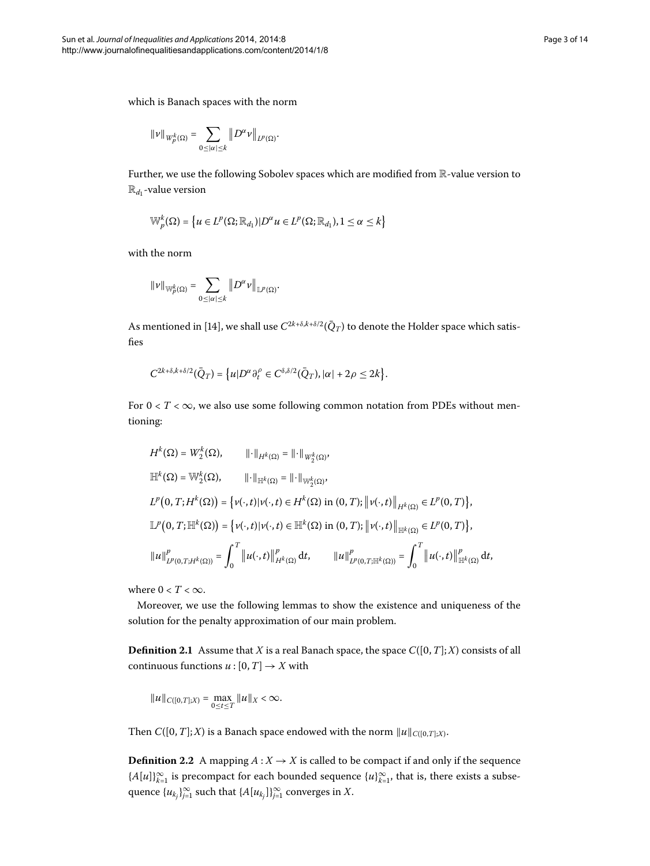$$
\|v\|_{W_p^k(\Omega)}=\sum_{0\leq|\alpha|\leq k}\left\|D^\alpha v\right\|_{L^p(\Omega)}.
$$

Further, we use the following Sobolev spaces which are modified from R-value version to  $\mathbb{R}_{d_1}$ -value version

$$
\mathbb{W}_p^k(\Omega) = \left\{ u \in L^p(\Omega; \mathbb{R}_{d_1}) | D^\alpha u \in L^p(\Omega; \mathbb{R}_{d_1}), 1 \leq \alpha \leq k \right\}
$$

with the norm

$$
\|\nu\|_{{\mathbb W}^k_p(\Omega)}=\sum_{0\leq|\alpha|\leq k}\left\|D^\alpha\nu\right\|_{{\mathbb L}^p(\Omega)}.
$$

As mentioned in [\[](#page-13-1)14], we shall use  $C^{2k+\delta,k+\delta/2}(\bar{Q}_T)$  to denote the Holder space which satisfies

$$
C^{2k+\delta,k+\delta/2}(\bar{Q}_T)=\big\{u|D^\alpha\partial_t^\rho\in C^{\delta,\delta/2}(\bar{Q}_T),|\alpha|+2\rho\leq 2k\big\}.
$$

For  $0 < T < \infty$ , we also use some following common notation from PDEs without mentioning:

$$
H^{k}(\Omega) = W_{2}^{k}(\Omega), \qquad || \cdot ||_{H^{k}(\Omega)} = || \cdot ||_{W_{2}^{k}(\Omega)},
$$
  
\n
$$
\mathbb{H}^{k}(\Omega) = \mathbb{W}_{2}^{k}(\Omega), \qquad || \cdot ||_{\mathbb{H}^{k}(\Omega)} = || \cdot ||_{\mathbb{W}_{2}^{k}(\Omega)},
$$
  
\n
$$
L^{p}(0, T; H^{k}(\Omega)) = \{v(\cdot, t) | v(\cdot, t) \in H^{k}(\Omega) \text{ in } (0, T); || v(\cdot, t) ||_{H^{k}(\Omega)} \in L^{p}(0, T)\},
$$
  
\n
$$
\mathbb{L}^{p}(0, T; \mathbb{H}^{k}(\Omega)) = \{v(\cdot, t) | v(\cdot, t) \in \mathbb{H}^{k}(\Omega) \text{ in } (0, T); || v(\cdot, t) ||_{\mathbb{H}^{k}(\Omega)} \in L^{p}(0, T)\},
$$
  
\n
$$
||u||_{L^{p}(0, T; H^{k}(\Omega))}^{p} = \int_{0}^{T} ||u(\cdot, t)||_{H^{k}(\Omega)}^{p} dt, \qquad ||u||_{L^{p}(0, T; \mathbb{H}^{k}(\Omega))}^{p} = \int_{0}^{T} ||u(\cdot, t)||_{\mathbb{H}^{k}(\Omega)}^{p} dt,
$$

where  $0 < T < \infty$ .

Moreover, we use the following lemmas to show the existence and uniqueness of the solution for the penalty approximation of our main problem.

**Definition 2.1** Assume that *X* is a real Banach space, the space  $C([0, T]; X)$  consists of all continuous functions  $u : [0, T] \rightarrow X$  with

$$
||u||_{C([0,T];X)} = \max_{0 \le t \le T} ||u||_X < \infty.
$$

Then *C*([0, *T*]; *X*) is a Banach space endowed with the norm  $||u||_{C([0,T];X)}$ .

**Definition 2.2** A mapping  $A: X \rightarrow X$  is called to be compact if and only if the sequence  ${A[u]}_{k=1}^{\infty}$  is precompact for each bounded sequence  ${u}^{\infty}_{k=1}$ , that is, there exists a subsequence  $\{u_{k_j}\}_{j=1}^\infty$  such that  $\{A[u_{k_j}]\}_{j=1}^\infty$  converges in  $X.$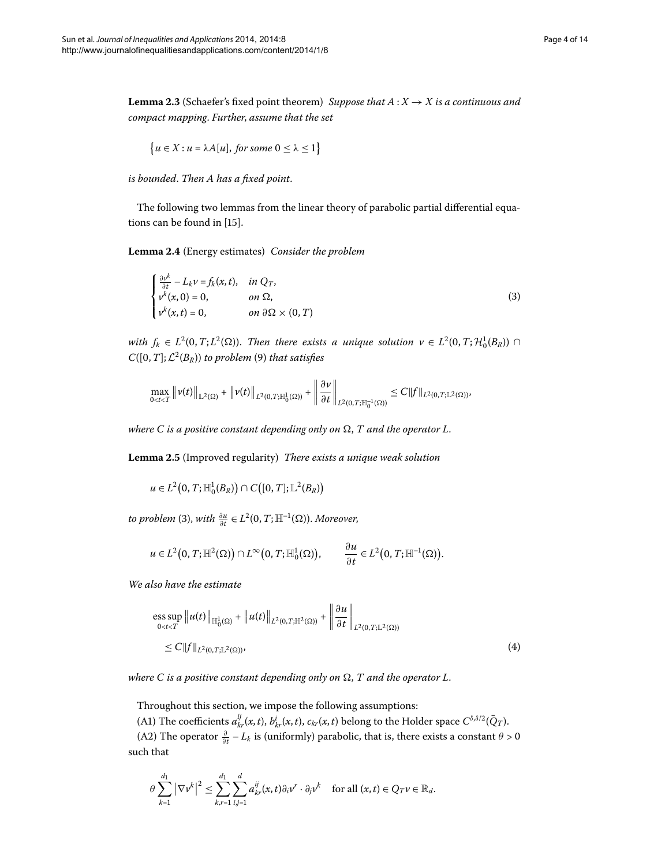<span id="page-3-3"></span>**Lemma 2.3** (Schaefer's fixed point theorem) *Suppose that*  $A: X \rightarrow X$  *is a continuous and compact mapping*. *Further*, *assume that the set*

<span id="page-3-1"></span><span id="page-3-0"></span>
$$
\{u \in X : u = \lambda A[u], \text{ for some } 0 \le \lambda \le 1\}
$$

*is bounded*. *Then A has a fixed point*.

The following two lemmas from the linear theory of parabolic partial differential equa-tions can be found in [15[\]](#page-13-2).

Lemma 2.4 (Energy estimates) *Consider the problem* 

$$
\begin{cases}\n\frac{\partial v^k}{\partial t} - L_k v = f_k(x, t), & \text{in } Q_T, \\
v^k(x, 0) = 0, & \text{on } \Omega, \\
v^k(x, t) = 0, & \text{on } \partial\Omega \times (0, T)\n\end{cases}
$$
\n(3)

*with*  $f_k \in L^2(0,T;L^2(\Omega))$ . *Then there exists a unique solution*  $v \in L^2(0,T;H_0^1(B_R))$   $\cap$  $C([0,T];\mathcal{L}^2(B_R))$  $C([0,T];\mathcal{L}^2(B_R))$  $C([0,T];\mathcal{L}^2(B_R))$  *to problem* (9) *that satisfies* 

$$
\max_{0
$$

where  $C$  is a positive constant depending only on  $\Omega,$   $T$  and the operator  $L.$ 

Lemma 2.5 (Improved regularity) *There exists a unique weak solution* 

*u* ∈ *L*<sup>2</sup>(0, *T*; H<sub>1</sub><sup>1</sup><sub>0</sub>(*B<sub>R</sub>*)) ∩ *C*([0, *T*]; L<sup>2</sup>(*B<sub>R</sub>*))

*to problem* (3[\)](#page-3-0), *with*  $\frac{\partial u}{\partial t} \in L^2(0,T;\mathbb{H}^{-1}(\Omega))$ . Moreover,

<span id="page-3-2"></span>
$$
u \in L^2(0, T; \mathbb{H}^2(\Omega)) \cap L^\infty(0, T; \mathbb{H}_0^1(\Omega)), \qquad \frac{\partial u}{\partial t} \in L^2(0, T; \mathbb{H}^{-1}(\Omega)).
$$

*We also have the estimate*

$$
\begin{aligned} &\text{ess sup } \|u(t)\|_{\mathbb{H}^1_0(\Omega)} + \|u(t)\|_{L^2(0,T;\mathbb{H}^2(\Omega))} + \left\|\frac{\partial u}{\partial t}\right\|_{L^2(0,T;\mathbb{L}^2(\Omega))} \\ &\leq C \|f\|_{L^2(0,T;\mathbb{L}^2(\Omega))}, \end{aligned} \tag{4}
$$

where  $C$  is a positive constant depending only on  $\Omega,$   $T$  and the operator  $L.$ 

Throughout this section, we impose the following assumptions:

(A1) The coefficients  $a_{kr}^{ij}(x,t)$ ,  $b_{kr}^i(x,t)$ ,  $c_{kr}(x,t)$  belong to the Holder space  $C^{\delta,\delta/2}(\bar{Q}_T)$ .

(A2) The operator  $\frac{\partial}{\partial t} - L_k$  is (uniformly) parabolic, that is, there exists a constant  $\theta > 0$ such that

$$
\theta \sum_{k=1}^{d_1} |\nabla v^k|^2 \leq \sum_{k,r=1}^{d_1} \sum_{i,j=1}^d a_{kr}^{ij}(x,t) \partial_i v^r \cdot \partial_j v^k \quad \text{for all } (x,t) \in Q_T v \in \mathbb{R}_d.
$$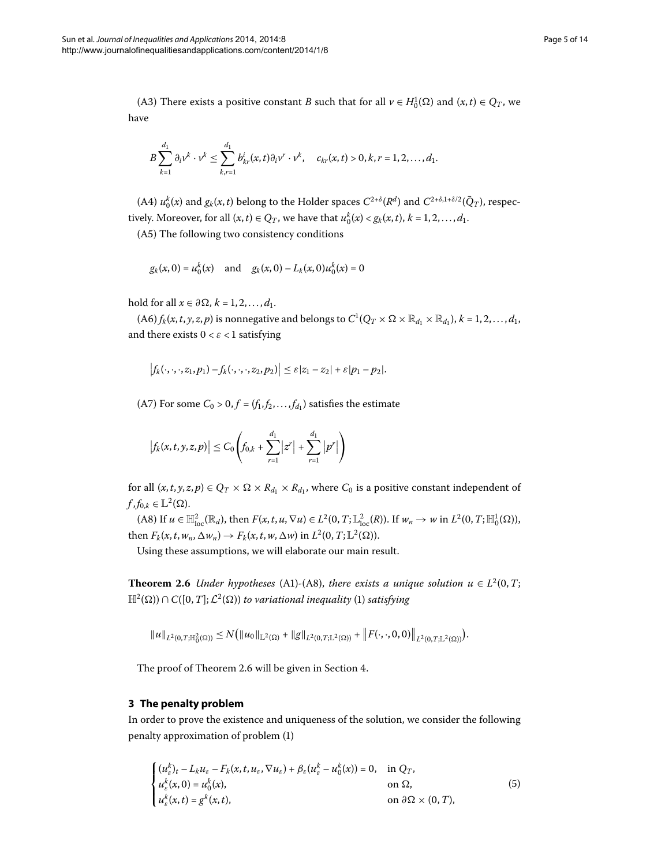(A3) There exists a positive constant *B* such that for all  $v \in H_0^1(\Omega)$  and  $(x, t) \in Q_T$ , we have

$$
B\sum_{k=1}^{d_1}\partial_i v^k\cdot v^k\leq \sum_{k,r=1}^{d_1}b_{kr}^i(x,t)\partial_i v^r\cdot v^k, \quad c_{kr}(x,t)>0, k,r=1,2,\ldots,d_1.
$$

(A4)  $u_0^k(x)$  and  $g_k(x,t)$  belong to the Holder spaces  $C^{2+\delta}(R^d)$  and  $C^{2+\delta,1+\delta/2}(\bar{Q}_T)$ , respectively. Moreover, for all  $(x, t) \in Q_T$ , we have that  $u_0^k(x) < g_k(x, t)$ ,  $k = 1, 2, ..., d_1$ .

(A5) The following two consistency conditions

$$
g_k(x, 0) = u_0^k(x)
$$
 and  $g_k(x, 0) - L_k(x, 0)u_0^k(x) = 0$ 

hold for all  $x \in \partial \Omega$ ,  $k = 1, 2, ..., d_1$ .

 $(A6) f_k(x,t,y,z,p)$  is nonnegative and belongs to  $C^1(Q_T \times \Omega \times \mathbb{R}_{d_1} \times \mathbb{R}_{d_1}), k = 1,2,\ldots,d_1,$ and there exists  $0 < \varepsilon < 1$  satisfying

$$
\left|f_k(\cdot,\cdot,\cdot,z_1,p_1)-f_k(\cdot,\cdot,\cdot,z_2,p_2)\right|\leq \varepsilon|z_1-z_2|+\varepsilon|p_1-p_2|.
$$

(A7) For some  $C_0 > 0, f = (f_1, f_2, \ldots, f_{d_1})$  satisfies the estimate

$$
\left|f_k(x, t, y, z, p)\right| \leq C_0 \left(f_{0,k} + \sum_{r=1}^{d_1} |z^r| + \sum_{r=1}^{d_1} |p^r|\right)
$$

<span id="page-4-1"></span>for all  $(x, t, y, z, p) \in Q_T \times \Omega \times R_{d_1} \times R_{d_1}$ , where  $C_0$  is a positive constant independent of  $f, f_{0,k} \in \mathbb{L}^2(\Omega).$ 

 $(A8)$  If  $u \in \mathbb{H}^2_{loc}(\mathbb{R}_d)$ , then  $F(x, t, u, \nabla u) \in L^2(0, T; \mathbb{L}^2_{loc}(R))$ . If  $w_n \to w$  in  $L^2(0, T; \mathbb{H}^1_0(\Omega))$ , then  $F_k(x, t, w_n, \Delta w_n) \rightarrow F_k(x, t, w, \Delta w)$  in  $L^2(0, T; \mathbb{L}^2(\Omega))$ .

Using these assumptions, we will elaborate our main result.

<span id="page-4-0"></span>**Theorem 2.6** *Under hypotheses* (A1)-(A8), *there exists a unique solution*  $u \in L^2(0, T;$  $\mathbb{H}^2(\Omega) \cap C([0,T];\mathcal{L}^2(\Omega))$  $\mathbb{H}^2(\Omega) \cap C([0,T];\mathcal{L}^2(\Omega))$  $\mathbb{H}^2(\Omega) \cap C([0,T];\mathcal{L}^2(\Omega))$  to variational inequality (1) satisfying

<span id="page-4-2"></span>
$$
||u||_{L^{2}(0,T;\mathbb{H}_{0}^{2}(\Omega))} \leq N(||u_{0}||_{\mathbb{L}^{2}(\Omega)} + ||g||_{L^{2}(0,T;\mathbb{L}^{2}(\Omega))} + ||F(\cdot,\cdot,0,0)||_{L^{2}(0,T;\mathbb{L}^{2}(\Omega))}).
$$

The proof of Theorem 2[.](#page-11-0)6 will be given in Section 4.

# **3 The penalty problem**

In order to prove the existence and uniqueness of the solution, we consider the following penalty approximation of problem [\(](#page-0-1)1)

$$
\begin{cases}\n(u_{\varepsilon}^{k})_{t} - L_{k}u_{\varepsilon} - F_{k}(x, t, u_{\varepsilon}, \nabla u_{\varepsilon}) + \beta_{\varepsilon}(u_{\varepsilon}^{k} - u_{0}^{k}(x)) = 0, & \text{in } Q_{T}, \\
u_{\varepsilon}^{k}(x, 0) = u_{0}^{k}(x), & \text{on } \Omega, \\
u_{\varepsilon}^{k}(x, t) = g^{k}(x, t), & \text{on } \partial\Omega \times (0, T),\n\end{cases}
$$
\n(5)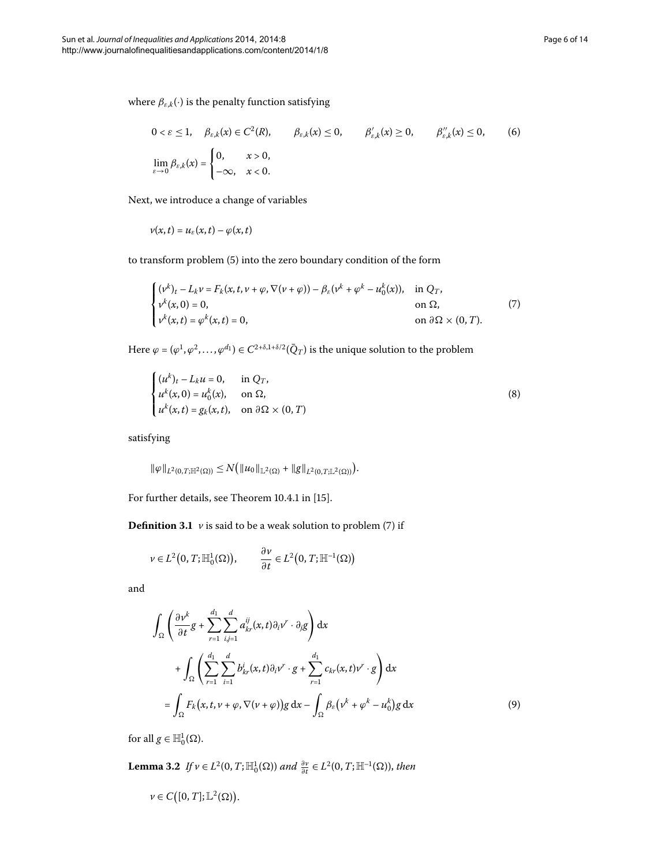<span id="page-5-2"></span>
$$
0 < \varepsilon \le 1, \quad \beta_{\varepsilon,k}(x) \in C^2(R), \qquad \beta_{\varepsilon,k}(x) \le 0, \qquad \beta'_{\varepsilon,k}(x) \ge 0, \qquad \beta''_{\varepsilon,k}(x) \le 0, \qquad (6)
$$
\n
$$
\lim_{\varepsilon \to 0} \beta_{\varepsilon,k}(x) = \begin{cases} 0, & x > 0, \\ -\infty, & x < 0. \end{cases}
$$

Next, we introduce a change of variables

<span id="page-5-1"></span>
$$
v(x,t) = u_{\varepsilon}(x,t) - \varphi(x,t)
$$

to transform problem (5[\)](#page-4-2) into the zero boundary condition of the form

$$
\begin{cases}\n(\nu^k)_t - L_k \nu = F_k(x, t, \nu + \varphi, \nabla(\nu + \varphi)) - \beta_{\varepsilon}(\nu^k + \varphi^k - u_0^k(x)), & \text{in } Q_T, \\
\nu^k(x, 0) = 0, & \text{on } \Omega, \\
\nu^k(x, t) = \varphi^k(x, t) = 0, & \text{on } \partial \Omega \times (0, T).\n\end{cases}
$$
\n(7)

Here  $\varphi = (\varphi^1, \varphi^2, \dots, \varphi^{d_1}) \in C^{2+\delta, 1+\delta/2}(\bar{Q}_T)$  is the unique solution to the problem

$$
\begin{cases}\n(u^k)_t - L_k u = 0, & \text{in } Q_T, \\
u^k(x, 0) = u_0^k(x), & \text{on } \Omega, \\
u^k(x, t) = g_k(x, t), & \text{on } \partial\Omega \times (0, T)\n\end{cases}
$$
\n(8)

satisfying

$$
\|\varphi\|_{L^2(0,T;\mathbb{H}^2(\Omega))}\leq N(\|\mu_0\|_{\mathbb{L}^2(\Omega)}+\|g\|_{L^2(0,T;\mathbb{L}^2(\Omega))}).
$$

For further details, see Theorem 10.4.1 in [\[](#page-13-2)15].

**Definition 3.1**  $\nu$  is said to be a weak solution to problem [\(](#page-5-1)7) if

$$
\nu \in L^2(0,T;\mathbb{H}^1_0(\Omega)), \qquad \frac{\partial \nu}{\partial t} \in L^2(0,T;\mathbb{H}^{-1}(\Omega))
$$

and

<span id="page-5-0"></span>
$$
\int_{\Omega} \left( \frac{\partial v^k}{\partial t} g + \sum_{r=1}^{d_1} \sum_{i,j=1}^d a_{kr}^{ij}(x, t) \partial_i v^r \cdot \partial_j g \right) dx
$$
\n
$$
+ \int_{\Omega} \left( \sum_{r=1}^{d_1} \sum_{i=1}^d b_{kr}^i(x, t) \partial_i v^r \cdot g + \sum_{r=1}^{d_1} c_{kr}(x, t) v^r \cdot g \right) dx
$$
\n
$$
= \int_{\Omega} F_k(x, t, v + \varphi, \nabla(v + \varphi)) g dx - \int_{\Omega} \beta_{\varepsilon} (v^k + \varphi^k - u_0^k) g dx \tag{9}
$$

for all  $g \in \mathbb{H}_0^1(\Omega)$ .

**Lemma 3.2** *If*  $v \in L^2(0,T;\mathbb{H}_0^1(\Omega))$  and  $\frac{\partial v}{\partial t} \in L^2(0,T;\mathbb{H}^{-1}(\Omega))$ , then

$$
v\in C([0,T];\mathbb{L}^2(\Omega)).
$$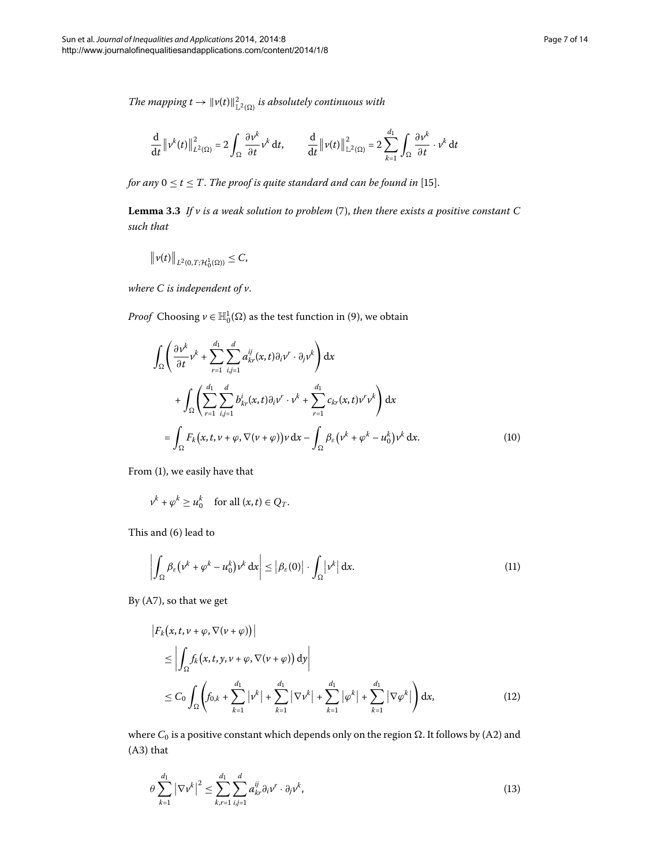<span id="page-6-2"></span>The mapping  $t \to \|v(t)\|_{\mathbb{L}^2(\Omega)}^2$  is absolutely continuous with

$$
\frac{\mathrm{d}}{\mathrm{d}t} \left\|v^{k}(t)\right\|^{2}_{L^{2}(\Omega)} = 2 \int_{\Omega} \frac{\partial v^{k}}{\partial t} v^{k} \, \mathrm{d}t, \qquad \frac{\mathrm{d}}{\mathrm{d}t} \left\|v(t)\right\|^{2}_{\mathbb{L}^{2}(\Omega)} = 2 \sum_{k=1}^{d_{1}} \int_{\Omega} \frac{\partial v^{k}}{\partial t} \cdot v^{k} \, \mathrm{d}t
$$

*for any*  $0 \le t \le T$ . *The proof is quite standard and can be found in* [15[\]](#page-13-2).

**Lemma 3.3** If  $v$  is a weak solution to problem (7[\)](#page-5-1), then there exists a positive constant C *such that*

$$
\|\nu(t)\|_{L^2(0,T;\mathcal{H}_0^1(\Omega))}\leq C,
$$

*where C is independent of v*.

*Proof* Choosing  $\nu \in \mathbb{H}_0^1(\Omega)$  $\nu \in \mathbb{H}_0^1(\Omega)$  as the test function in (9), we obtain

<span id="page-6-1"></span>
$$
\int_{\Omega} \left( \frac{\partial v^k}{\partial t} v^k + \sum_{r=1}^d \sum_{i,j=1}^d a_{kr}^{ij}(x,t) \partial_i v^r \cdot \partial_j v^k \right) dx
$$
  
+ 
$$
\int_{\Omega} \left( \sum_{r=1}^d \sum_{i,j=1}^d b_{kr}^i(x,t) \partial_i v^r \cdot v^k + \sum_{r=1}^d c_{kr}(x,t) v^r v^k \right) dx
$$
  
= 
$$
\int_{\Omega} F_k(x,t,v+\varphi, \nabla(\nu+\varphi)) v dx - \int_{\Omega} \beta_{\varepsilon} (v^k + \varphi^k - u_0^k) v^k dx.
$$
 (10)

From [\(](#page-0-1)1), we easily have that

<span id="page-6-0"></span>
$$
v^k + \varphi^k \ge u_0^k \quad \text{for all } (x, t) \in Q_T.
$$

This and  $(6)$  lead to

$$
\left| \int_{\Omega} \beta_{\varepsilon} \left( v^{k} + \varphi^{k} - u_{0}^{k} \right) v^{k} \, \mathrm{d}x \right| \leq \left| \beta_{\varepsilon}(0) \right| \cdot \int_{\Omega} \left| v^{k} \right| \, \mathrm{d}x. \tag{11}
$$

By  $(A7)$ , so that we get

$$
\begin{aligned}\n\left| F_k(x, t, v + \varphi, \nabla(v + \varphi)) \right| \\
&\leq \left| \int_{\Omega} f_k(x, t, y, v + \varphi, \nabla(v + \varphi)) \, \mathrm{d}y \right| \\
&\leq C_0 \int_{\Omega} \left( f_{0,k} + \sum_{k=1}^{d_1} |v^k| + \sum_{k=1}^{d_1} |\nabla v^k| + \sum_{k=1}^{d_1} |\varphi^k| + \sum_{k=1}^{d_1} |\nabla \varphi^k| \right) \mathrm{d}x,\n\end{aligned} \tag{12}
$$

where  $C_0$  is a positive constant which depends only on the region  $\Omega.$  It follows by (A2) and  $(A3)$  that

$$
\theta \sum_{k=1}^{d_1} |\nabla \nu^k|^2 \le \sum_{k,r=1}^{d_1} \sum_{i,j=1}^d a_{kr}^{ij} \partial_i \nu^r \cdot \partial_j \nu^k,
$$
\n(13)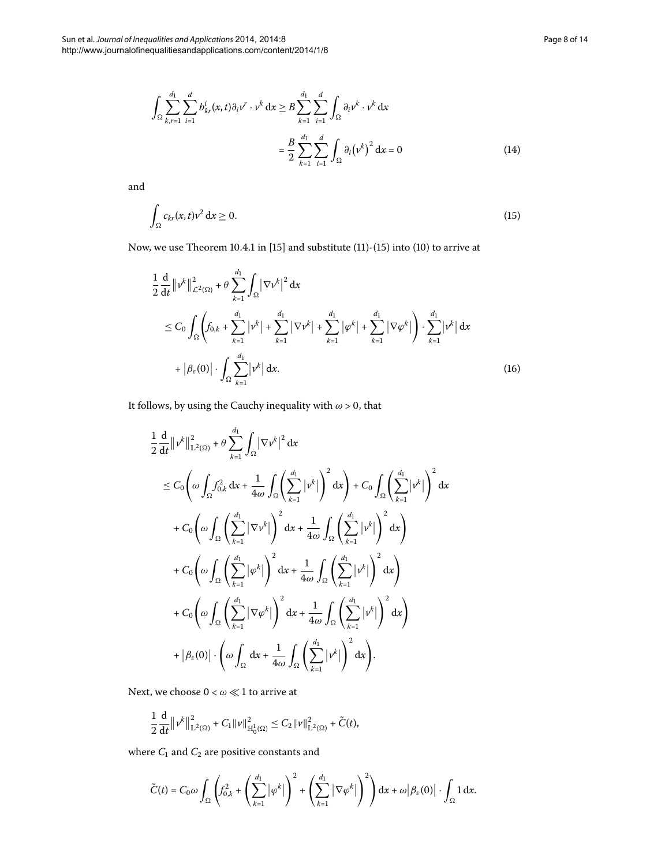<span id="page-7-0"></span>
$$
\int_{\Omega} \sum_{k,r=1}^{d_1} \sum_{i=1}^{d} b_{kr}^i(x,t) \partial_i v^r \cdot v^k dx \ge B \sum_{k=1}^{d_1} \sum_{i=1}^{d} \int_{\Omega} \partial_i v^k \cdot v^k dx
$$

$$
= \frac{B}{2} \sum_{k=1}^{d_1} \sum_{i=1}^{d} \int_{\Omega} \partial_i (v^k)^2 dx = 0
$$
(14)

and

$$
\int_{\Omega} c_{kr}(x,t)v^2 dx \ge 0.
$$
\n(15)

Now, we use Theorem 10.4.1 in  $[15]$  $[15]$  and substitute  $(11)-(15)$  $(11)-(15)$  $(11)-(15)$  $(11)-(15)$  into  $(10)$  to arrive at

<span id="page-7-1"></span>
$$
\frac{1}{2} \frac{d}{dt} \|\nu^{k}\|_{\mathcal{L}^{2}(\Omega)}^{2} + \theta \sum_{k=1}^{d_{1}} \int_{\Omega} |\nabla \nu^{k}|^{2} dx
$$
\n
$$
\leq C_{0} \int_{\Omega} \left( f_{0,k} + \sum_{k=1}^{d_{1}} |\nu^{k}| + \sum_{k=1}^{d_{1}} |\nabla \nu^{k}| + \sum_{k=1}^{d_{1}} |\varphi^{k}| + \sum_{k=1}^{d_{1}} |\nabla \varphi^{k}| \right) \cdot \sum_{k=1}^{d_{1}} |\nu^{k}| dx
$$
\n
$$
+ |\beta_{\varepsilon}(0)| \cdot \int_{\Omega} \sum_{k=1}^{d_{1}} |\nu^{k}| dx.
$$
\n(16)

It follows, by using the Cauchy inequality with  $\omega > 0$ , that

$$
\frac{1}{2} \frac{d}{dt} \left\|v^{k}\right\|_{\mathbb{L}^{2}(\Omega)}^{2} + \theta \sum_{k=1}^{d_{1}} \int_{\Omega} \left|\nabla v^{k}\right|^{2} dx
$$
\n
$$
\leq C_{0} \left(\omega \int_{\Omega} f_{0,k}^{2} dx + \frac{1}{4\omega} \int_{\Omega} \left(\sum_{k=1}^{d_{1}} |v^{k}|\right)^{2} dx\right) + C_{0} \int_{\Omega} \left(\sum_{k=1}^{d_{1}} |v^{k}|\right)^{2} dx
$$
\n
$$
+ C_{0} \left(\omega \int_{\Omega} \left(\sum_{k=1}^{d_{1}} |\nabla v^{k}|\right)^{2} dx + \frac{1}{4\omega} \int_{\Omega} \left(\sum_{k=1}^{d_{1}} |v^{k}|\right)^{2} dx\right)
$$
\n
$$
+ C_{0} \left(\omega \int_{\Omega} \left(\sum_{k=1}^{d_{1}} |{\varphi}^{k}|\right)^{2} dx + \frac{1}{4\omega} \int_{\Omega} \left(\sum_{k=1}^{d_{1}} |v^{k}|\right)^{2} dx\right)
$$
\n
$$
+ C_{0} \left(\omega \int_{\Omega} \left(\sum_{k=1}^{d_{1}} |\nabla \varphi^{k}|\right)^{2} dx + \frac{1}{4\omega} \int_{\Omega} \left(\sum_{k=1}^{d_{1}} |v^{k}|\right)^{2} dx\right)
$$
\n
$$
+ |\beta_{\varepsilon}(0)| \cdot \left(\omega \int_{\Omega} dx + \frac{1}{4\omega} \int_{\Omega} \left(\sum_{k=1}^{d_{1}} |v^{k}|\right)^{2} dx\right).
$$

Next, we choose  $0<\omega\ll 1$  to arrive at

$$
\frac{1}{2}\frac{\mathrm{d}}{\mathrm{d}t}\left\|\nu^k\right\|_{\mathbb{L}^2(\Omega)}^2+C_1\|\nu\|_{\mathbb{H}_0^1(\Omega)}^2\leq C_2\|\nu\|_{\mathbb{L}^2(\Omega)}^2+\tilde{C}(t),
$$

where  $C_1$  and  $C_2$  are positive constants and

$$
\widetilde{C}(t) = C_0 \omega \int_{\Omega} \left( f_{0,k}^2 + \left( \sum_{k=1}^{d_1} |\varphi^k| \right)^2 + \left( \sum_{k=1}^{d_1} |\nabla \varphi^k| \right)^2 \right) dx + \omega \left| \beta_{\varepsilon}(0) \right| \cdot \int_{\Omega} 1 dx.
$$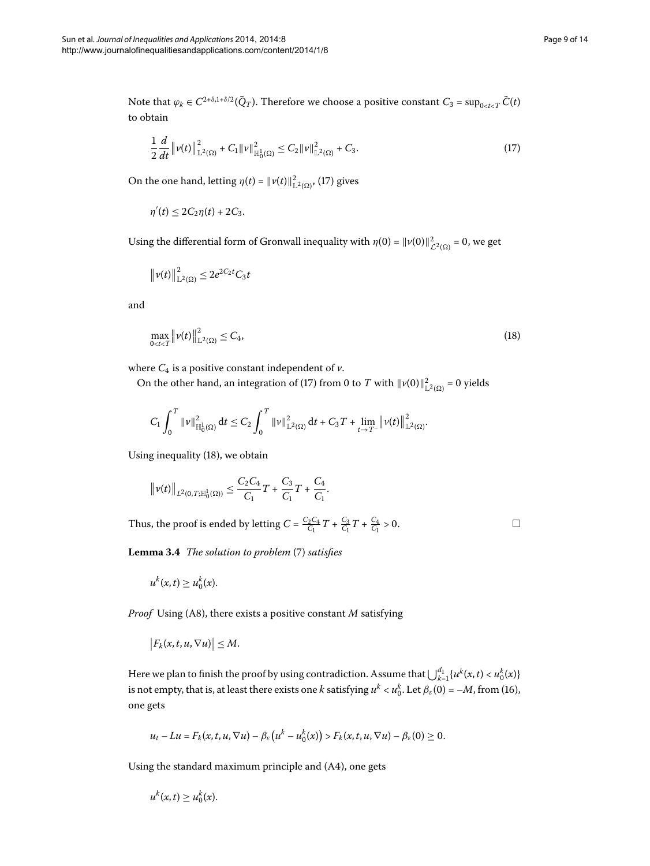Note that  $\varphi_k \in C^{2+\delta,1+\delta/2}(\bar{Q}_T)$ . Therefore we choose a positive constant  $C_3 = \sup_{0 \le t \le T} \tilde{C}(t)$ to obtain

<span id="page-8-0"></span>
$$
\frac{1}{2}\frac{d}{dt}\|\nu(t)\|_{\mathbb{L}^{2}(\Omega)}^{2}+C_{1}\|\nu\|_{\mathbb{H}_{0}^{1}(\Omega)}^{2}\leq C_{2}\|\nu\|_{\mathbb{L}^{2}(\Omega)}^{2}+C_{3}.
$$
\n(17)

On the one hand, letting  $\eta(t) = ||v(t)||_{\mathbb{L}^2(\Omega)}^2$  $\eta(t) = ||v(t)||_{\mathbb{L}^2(\Omega)}^2$  $\eta(t) = ||v(t)||_{\mathbb{L}^2(\Omega)}^2$ , (17) gives

<span id="page-8-1"></span> $\eta'(t) \leq 2C_2\eta(t) + 2C_3.$ 

Using the differential form of Gronwall inequality with  $\eta(0) = ||v(0)||^2_{\mathcal{L}^2(\Omega)} = 0$ , we get

$$
\|\nu(t)\|_{\mathbb{L}^2(\Omega)}^2 \leq 2e^{2C_2t}C_3t
$$

and

$$
\max_{0
$$

where  $C_4$  is a positive constant independent of  $\nu$ .

On the other hand, an integration of [\(](#page-8-0)17) from 0 to *T* with  $\|\nu(0)\|_{\mathbb{L}^2(\Omega)}^2 = 0$  yields

$$
C_1 \int_0^T \|v\|_{\mathbb{H}_0^1(\Omega)}^2 dt \leq C_2 \int_0^T \|v\|_{\mathbb{L}^2(\Omega)}^2 dt + C_3 T + \lim_{t \to T^-} \|v(t)\|_{\mathbb{L}^2(\Omega)}^2.
$$

<span id="page-8-2"></span>Using inequality [\(](#page-8-1)18), we obtain

$$
\|\nu(t)\|_{L^2(0,T;\mathbb{H}_0^1(\Omega))}\leq \frac{C_2C_4}{C_1}T+\frac{C_3}{C_1}T+\frac{C_4}{C_1}.
$$

Thus, the proof is ended by letting  $C = \frac{C_2 C_4}{C_1} T + \frac{C_3}{C_1} T + \frac{C_4}{C_1} > 0$ .

 $\Box$ 

Lemma 3.4 The solution to problem (7[\)](#page-5-1) satisfies

$$
u^k(x,t) \geq u_0^k(x).
$$

*Proof* Using (A8), there exists a positive constant *M* satisfying

$$
\big|F_k(x,t,u,\nabla u)\big|\leq M.
$$

Here we plan to finish the proof by using contradiction. Assume that  $\bigcup_{k=1}^{d_1} \{u^k(x,t) < u_0^k(x)\}$ is not empty, that is, at least there exists one *k* satisfying  $u^k < u_0^k$ . Let  $\beta_\varepsilon(0) = -M$  $\beta_\varepsilon(0) = -M$  $\beta_\varepsilon(0) = -M$ , from (16), one gets

$$
u_t - Lu = F_k(x, t, u, \nabla u) - \beta_{\varepsilon}\big(u^k - u_0^k(x)\big) > F_k(x, t, u, \nabla u) - \beta_{\varepsilon}(0) \geq 0.
$$

Using the standard maximum principle and (A4), one gets

$$
u^k(x,t) \geq u_0^k(x).
$$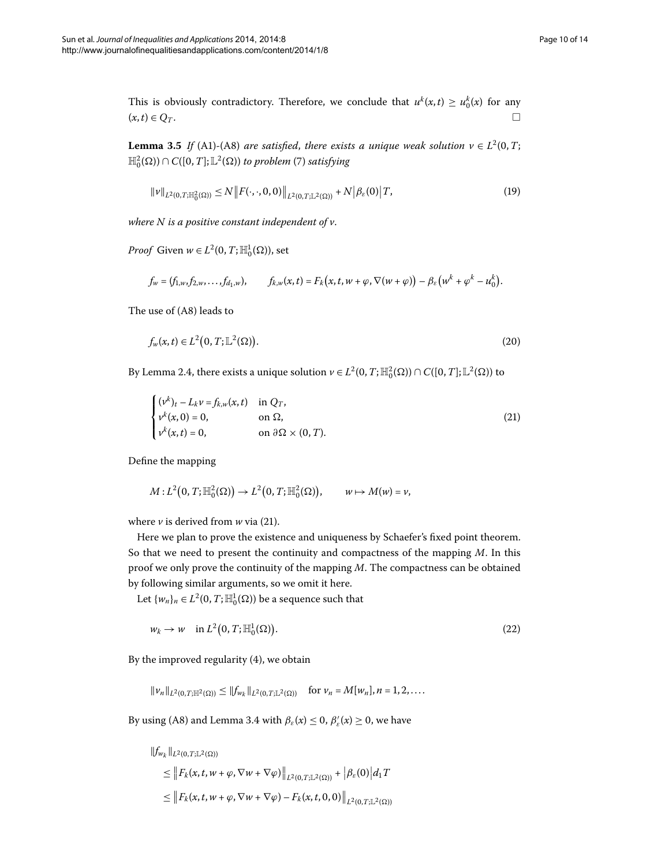<span id="page-9-4"></span>This is obviously contradictory. Therefore, we conclude that  $u^k(x,t) \ge u_0^k(x)$  for any  $(x,t) \in Q_T$ .

**Lemma 3.5** *If* (A1)-(A8) *are satisfied, there exists a unique weak solution*  $v \in L^2(0, T;$  $\mathbb{H}_{0}^{2}(\Omega) ) \cap C([0,T];\mathbb{L}^{2}(\Omega))$  $\mathbb{H}_{0}^{2}(\Omega) ) \cap C([0,T];\mathbb{L}^{2}(\Omega))$  $\mathbb{H}_{0}^{2}(\Omega) ) \cap C([0,T];\mathbb{L}^{2}(\Omega))$  to problem (7) satisfying

<span id="page-9-3"></span><span id="page-9-1"></span>
$$
\|\nu\|_{L^{2}(0,T;\mathbb{H}_{0}^{2}(\Omega))} \leq N \|F(\cdot,\cdot,0,0)\|_{L^{2}(0,T;\mathbb{L}^{2}(\Omega))} + N |\beta_{\varepsilon}(0)| T,
$$
\n(19)

*where N is a positive constant independent of v*.

*Proof* Given  $w \in L^2(0, T; \mathbb{H}_0^1(\Omega))$ , set

$$
f_w = (f_{1,w}, f_{2,w}, \ldots, f_{d_1,w}), \qquad f_{k,w}(x,t) = F_k(x,t,w+\varphi, \nabla(w+\varphi)) - \beta_{\varepsilon}(w^k + \varphi^k - u_0^k).
$$

The use of (A8) leads to

<span id="page-9-0"></span>
$$
f_w(x,t) \in L^2(0,T;\mathbb{L}^2(\Omega)).
$$
\n(20)

By Lemma 2.4, there exists a unique solution  $\nu \in L^2(0, T; \mathbb{H}^2_0(\Omega)) \cap C([0, T]; \mathbb{L}^2(\Omega))$  to

$$
\begin{cases}\n(\nu^k)_t - L_k \nu = f_{k,w}(x, t) & \text{in } Q_T, \\
\nu^k(x, 0) = 0, & \text{on } \Omega, \\
\nu^k(x, t) = 0, & \text{on } \partial\Omega \times (0, T).\n\end{cases}
$$
\n(21)

Define the mapping

<span id="page-9-2"></span>
$$
M:L^2(0,T;\mathbb{H}^2_0(\Omega))\to L^2(0,T;\mathbb{H}^2_0(\Omega)),\qquad w\mapsto M(w)=v,
$$

where  $\nu$  is derived from  $w$  via (21[\)](#page-9-0).

Here we plan to prove the existence and uniqueness by Schaefer's fixed point theorem. So that we need to present the continuity and compactness of the mapping *M*. In this proof we only prove the continuity of the mapping *M*. The compactness can be obtained by following similar arguments, so we omit it here.

Let  $\{w_n\}_n \in L^2(0, T; \mathbb{H}^1_0(\Omega))$  be a sequence such that

$$
w_k \to w \quad \text{in } L^2(0,T;\mathbb{H}_0^1(\Omega)).
$$
\n
$$
(22)
$$

By the improved regularity  $(4)$ , we obtain

 $||v_n||_{L^2(0,T;\mathbb{H}^2(\Omega))} \leq ||f_{w_k}||_{L^2(0,T;\mathbb{L}^2(\Omega))}$  for  $v_n = M[w_n], n = 1, 2, ...$ 

By using (A8) and Lemma 3[.](#page-8-2)4 with  $\beta_{\varepsilon}(x) \leq 0$ ,  $\beta'_{\varepsilon}(x) \geq 0$ , we have

$$
\|f_{w_k}\|_{L^2(0,T;\mathbb{L}^2(\Omega))}
$$
\n
$$
\leq \|F_k(x,t,w+\varphi,\nabla w+\nabla\varphi)\|_{L^2(0,T;\mathbb{L}^2(\Omega))} + |\beta_{\varepsilon}(0)|d_1T
$$
\n
$$
\leq \|F_k(x,t,w+\varphi,\nabla w+\nabla\varphi) - F_k(x,t,0,0)\|_{L^2(0,T;\mathbb{L}^2(\Omega))}
$$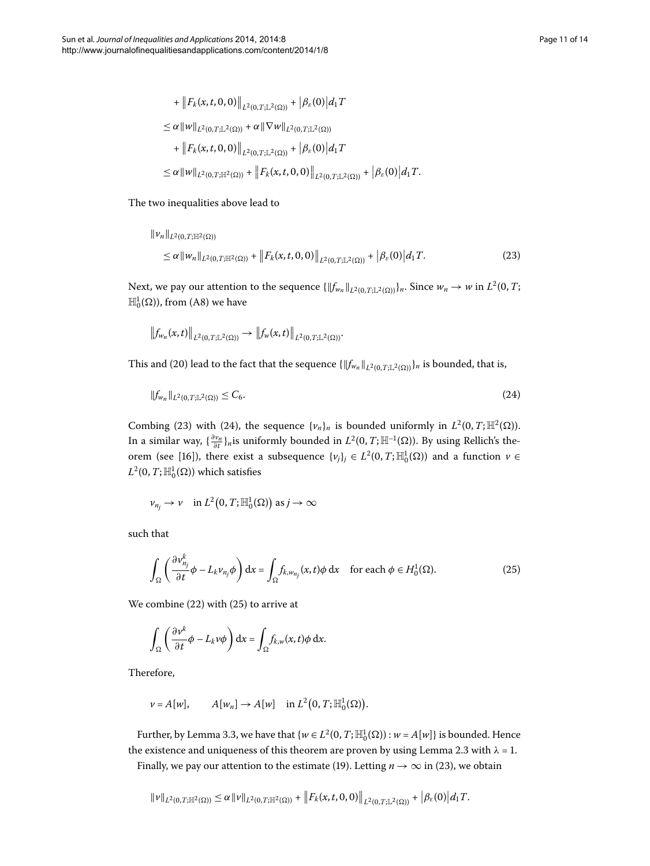<span id="page-10-0"></span>+ 
$$
||F_k(x, t, 0, 0)||_{L^2(0,T;\mathbb{L}^2(\Omega))} + |\beta_{\varepsilon}(0)| d_1 T
$$
  
\n $\leq \alpha ||w||_{L^2(0,T;\mathbb{L}^2(\Omega))} + \alpha ||\nabla w||_{L^2(0,T;\mathbb{L}^2(\Omega))}$   
\n+  $||F_k(x, t, 0, 0)||_{L^2(0,T;\mathbb{L}^2(\Omega))} + |\beta_{\varepsilon}(0)| d_1 T$   
\n $\leq \alpha ||w||_{L^2(0,T;\mathbb{H}^2(\Omega))} + ||F_k(x, t, 0, 0)||_{L^2(0,T;\mathbb{L}^2(\Omega))} + |\beta_{\varepsilon}(0)| d_1 T.$ 

# The two inequalities above lead to

$$
\|v_n\|_{L^2(0,T;\mathbb{H}^2(\Omega))}\n\leq \alpha \|w_n\|_{L^2(0,T;\mathbb{H}^2(\Omega))} + \|F_k(x,t,0,0)\|_{L^2(0,T;\mathbb{L}^2(\Omega))} + |\beta_{\varepsilon}(0)| d_1 T.
$$
\n(23)

Next, we pay our attention to the sequence  $\{\|f_{w_n}\|_{L^2(0,T;\mathbb{L}^2(\Omega))}\}_n.$  Since  $w_n \to w$  in  $L^2(0,T;\mathbb{L}^2(\Omega))$  $\mathbb{H}_0^1(\Omega)$ ), from (A8) we have

<span id="page-10-1"></span>
$$
\left\|f_{w_n}(x,t)\right\|_{L^2(0,T;\mathbb{L}^2(\Omega))}\to \left\|f_w(x,t)\right\|_{L^2(0,T;\mathbb{L}^2(\Omega))}.
$$

This and (20) lead to the fact that the sequence  $\{\|f_{w_n}\|_{L^2(0,T;\mathbb{L}^2(\Omega))}\}_n$  is bounded, that is,

$$
\|f_{w_n}\|_{L^2(0,T;\mathbb{L}^2(\Omega))} \le C_6. \tag{24}
$$

Combing (23[\)](#page-10-0) with [\(](#page-10-1)24), the sequence  $\{v_n\}_n$  is bounded uniformly in  $L^2(0,T;\mathbb{H}^2(\Omega))$ . In a similar way,  $\{\frac{\partial \nu_n}{\partial t}\}_n$ is uniformly bounded in  $L^2(0,T;\mathbb{H}^{-1}(\Omega)).$  By using Rellich's the-orem (see [16[\]](#page-13-3)), there exist a subsequence  $\{v_j\}_j \in L^2(0,T;\mathbb{H}_0^1(\Omega))$  and a function  $v \in$  $L^2(0,T;\mathbb{H}^1_0(\Omega))$  which satisfies

<span id="page-10-2"></span>
$$
\nu_{n_j} \to \nu \quad \text{in } L^2(0,T; \mathbb{H}^1_0(\Omega)) \text{ as } j \to \infty
$$

such that

$$
\int_{\Omega} \left( \frac{\partial v_{n_j}^k}{\partial t} \phi - L_k v_{n_j} \phi \right) dx = \int_{\Omega} f_{k, w_{n_j}}(x, t) \phi dx \quad \text{for each } \phi \in H_0^1(\Omega). \tag{25}
$$

We combine  $(22)$  $(22)$  $(22)$  with  $(25)$  to arrive at

$$
\int_{\Omega} \left( \frac{\partial v^k}{\partial t} \phi - L_k v \phi \right) dx = \int_{\Omega} f_{k,w}(x,t) \phi dx.
$$

Therefore,

$$
\nu = A[w], \qquad A[w_n] \to A[w] \quad \text{in } L^2(0,T;\mathbb{H}_0^1(\Omega)).
$$

Further, by Lemma 3[.](#page-6-2)3, we have that  $\{w \in L^2(0, T; \mathbb{H}_0^1(\Omega)) : w = A[w]\}$  is bounded. Hence the existence and uniqueness of this theorem are proven by using Lemma 2[.](#page-3-3)3 with  $\lambda = 1$ .

Finally, we pay our attention to the estimate (19). Letting  $n \to \infty$  in (23), we obtain

$$
\|\nu\|_{L^2(0,T;\mathbb{H}^2(\Omega))}\leq \alpha \|\nu\|_{L^2(0,T;\mathbb{H}^2(\Omega))}+\left\|F_k(x,t,0,0)\right\|_{L^2(0,T;\mathbb{L}^2(\Omega))}+\left|\beta_\varepsilon(0)\right|d_1T.
$$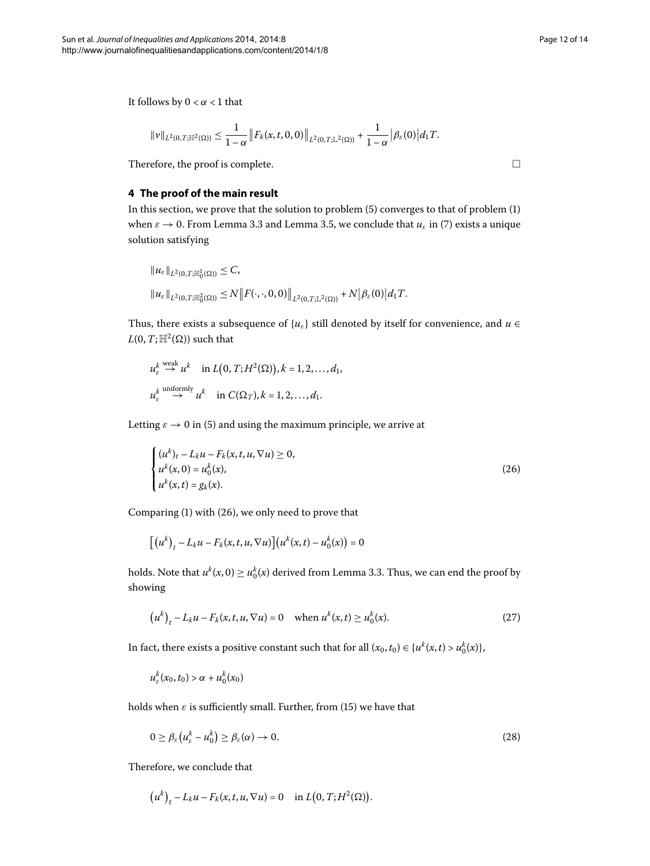<span id="page-11-0"></span>It follows by  $0 < \alpha < 1$  that

$$
\|\nu\|_{L^2(0,T;\mathbb{H}^2(\Omega))}\leq \frac{1}{1-\alpha}\left\|F_k(x,t,0,0)\right\|_{L^2(0,T;\mathbb{L}^2(\Omega))}+\frac{1}{1-\alpha}\left|\beta_{\varepsilon}(0)\right|d_1T.
$$

Therefore, the proof is complete.

## **4 The proof of the main result**

In this section, we prove that the solution to problem  $(5)$  $(5)$  converges to that of problem  $(1)$ when  $\varepsilon \to 0$ [.](#page-6-2) From Lemma 3.3 and Lemma 3.5, we conclude that  $u_{\varepsilon}$  in (7[\)](#page-5-1) exists a unique solution satisfying

$$
\|u_{\varepsilon}\|_{L^{2}(0,T;\mathbb{H}_{0}^{1}(\Omega))} \leq C,
$$
  

$$
\|u_{\varepsilon}\|_{L^{2}(0,T;\mathbb{H}_{0}^{2}(\Omega))} \leq N \|F(\cdot,\cdot,0,0)\|_{L^{2}(0,T;\mathbb{L}^{2}(\Omega))} + N |\beta_{\varepsilon}(0)| d_{1} T.
$$

Thus, there exists a subsequence of  ${u_{\varepsilon}}$  still denoted by itself for convenience, and  $u \in$  $L(0, T; \mathbb{H}^2(\Omega))$  such that

$$
u_{\varepsilon}^k \stackrel{\text{weak}}{\to} u^k \quad \text{in } L(0, T; H^2(\Omega)), k = 1, 2, ..., d_1,
$$
  

$$
u_{\varepsilon}^k \stackrel{\text{uniformly}}{\to} u^k \quad \text{in } C(\Omega_T), k = 1, 2, ..., d_1.
$$

Letting  $\varepsilon \to 0$  in (5[\)](#page-4-2) and using the maximum principle, we arrive at

$$
\begin{cases}\n(u^k)_t - L_k u - F_k(x, t, u, \nabla u) \ge 0, \\
u^k(x, 0) = u_0^k(x), \\
u^k(x, t) = g_k(x).\n\end{cases}
$$
\n(26)

Comparing  $(1)$  $(1)$  with  $(26)$ , we only need to prove that

<span id="page-11-2"></span>
$$
\left[\left(u^{k}\right)_{t}-L_{k}u-F_{k}(x,t,u,\nabla u)\right]\left(u^{k}(x,t)-u_{0}^{k}(x)\right)=0
$$

holds[.](#page-6-2) Note that  $u^k(x, 0) \ge u_0^k(x)$  derived from Lemma 3.3. Thus, we can end the proof by showing

<span id="page-11-3"></span>
$$
(u^{k})_{t} - L_{k}u - F_{k}(x, t, u, \nabla u) = 0 \quad \text{when } u^{k}(x, t) \ge u_{0}^{k}(x). \tag{27}
$$

In fact, there exists a positive constant such that for all  $(x_0, t_0) \in \{u^k(x, t) > u_0^k(x)\}$ ,

$$
u_{\varepsilon}^k(x_0,t_0) > \alpha + u_0^k(x_0)
$$

holds when  $\varepsilon$  is sufficiently small. Further, from [\(](#page-7-0)15) we have that

$$
0 \ge \beta_{\varepsilon} \left( u_{\varepsilon}^k - u_0^k \right) \ge \beta_{\varepsilon}(\alpha) \to 0. \tag{28}
$$

Therefore, we conclude that

$$
(u^k)_t - L_k u - F_k(x, t, u, \nabla u) = 0 \quad \text{in } L(0, T; H^2(\Omega)).
$$

<span id="page-11-1"></span> $\Box$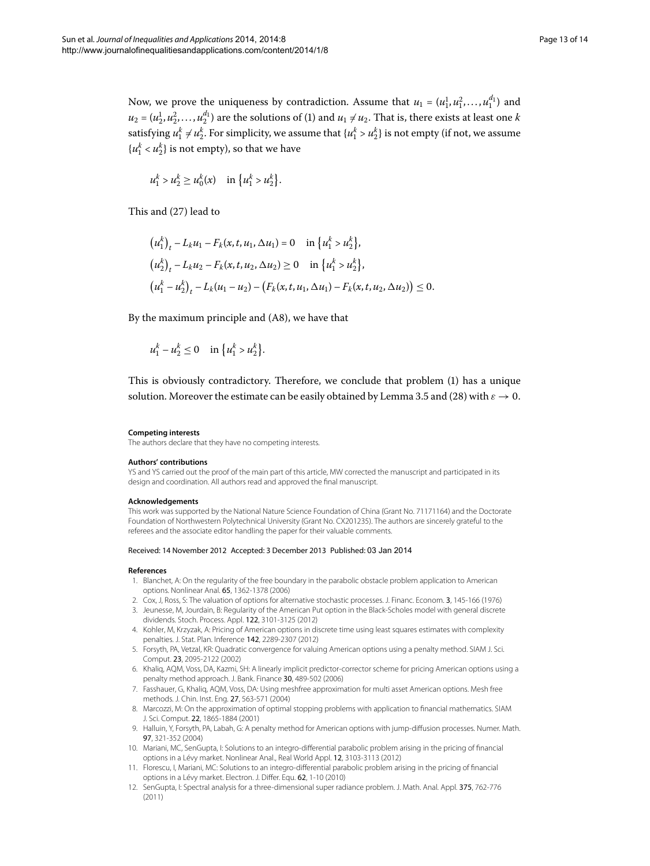Now, we prove the uniqueness by contradiction. Assume that  $u_1 = (u_1^1, u_1^2, \ldots, u_1^{d_1})$  and  $u_2 = (u_2^1, u_2^2, \dots, u_2^{d_1})$  $u_2 = (u_2^1, u_2^2, \dots, u_2^{d_1})$  $u_2 = (u_2^1, u_2^2, \dots, u_2^{d_1})$  are the solutions of (1) and  $u_1 \neq u_2$ . That is, there exists at least one *k* satisfying  $u_1^k \neq u_2^k$ . For simplicity, we assume that  $\{u_1^k > u_2^k\}$  is not empty (if not, we assume  $\{u_1^k < u_2^k\}$  is not empty), so that we have

$$
u_1^k > u_2^k \ge u_0^k(x)
$$
 in  $\{u_1^k > u_2^k\}.$ 

This and  $(27)$  $(27)$  lead to

$$
(u_1^k)_t - L_k u_1 - F_k(x, t, u_1, \Delta u_1) = 0 \quad \text{in } \{u_1^k > u_2^k\},
$$
  
\n
$$
(u_2^k)_t - L_k u_2 - F_k(x, t, u_2, \Delta u_2) \ge 0 \quad \text{in } \{u_1^k > u_2^k\},
$$
  
\n
$$
(u_1^k - u_2^k)_t - L_k(u_1 - u_2) - (F_k(x, t, u_1, \Delta u_1) - F_k(x, t, u_2, \Delta u_2)) \le 0.
$$

By the maximum principle and  $(A8)$ , we have that

$$
u_1^k - u_2^k \le 0
$$
 in  $\{u_1^k > u_2^k\}$ .

This is obviously contradictory. Therefore, we conclude that problem [\(](#page-0-1)) has a unique solution[.](#page-9-4) Moreover the estimate can be easily obtained by Lemma 3.5 and (28) with  $\varepsilon \to 0$ .

#### **Competing interests**

The authors declare that they have no competing interests.

#### **Authors' contributions**

<span id="page-12-0"></span>YS and YS carried out the proof of the main part of this article, MW corrected the manuscript and participated in its design and coordination. All authors read and approved the final manuscript.

#### <span id="page-12-1"></span>**Acknowledgements**

<span id="page-12-3"></span><span id="page-12-2"></span>This work was supported by the National Nature Science Foundation of China (Grant No. 71171164) and the Doctorate Foundation of Northwestern Polytechnical University (Grant No. CX201235). The authors are sincerely grateful to the referees and the associate editor handling the paper for their valuable comments.

#### <span id="page-12-4"></span>Received: 14 November 2012 Accepted: 3 December 2013 Published: 03 Jan 2014

#### **References**

- 1. Blanchet, A: On the regularity of the free boundary in the parabolic obstacle problem application to American options. Nonlinear Anal. 65, 1362-1378 (2006)
- 2. Cox, J, Ross, S: The valuation of options for alternative stochastic processes. J. Financ. Econom. 3, 145-166 (1976)
- <span id="page-12-6"></span>3. Jeunesse, M, Jourdain, B: Regularity of the American Put option in the Black-Scholes model with general discrete dividends. Stoch. Process. Appl. 122, 3101-3125 (2012)
- <span id="page-12-5"></span>4. Kohler, M, Krzyzak, A: Pricing of American options in discrete time using least squares estimates with complexity penalties. J. Stat. Plan. Inference 142, 2289-2307 (2012)
- <span id="page-12-7"></span>5. Forsyth, PA, Vetzal, KR: Quadratic convergence for valuing American options using a penalty method. SIAM J. Sci. Comput. 23, 2095-2122 (2002)
- <span id="page-12-8"></span>6. Khaliq, AQM, Voss, DA, Kazmi, SH: A linearly implicit predictor-corrector scheme for pricing American options using a penalty method approach. J. Bank. Finance 30, 489-502 (2006)
- <span id="page-12-9"></span>7. Fasshauer, G, Khaliq, AQM, Voss, DA: Using meshfree approximation for multi asset American options. Mesh free methods. J. Chin. Inst. Eng. 27, 563-571 (2004)
- 8. Marcozzi, M: On the approximation of optimal stopping problems with application to financial mathematics. SIAM J. Sci. Comput. 22, 1865-1884 (2001)
- 9. Halluin, Y, Forsyth, PA, Labah, G: A penalty method for American options with jump-diffusion processes. Numer. Math. 97, 321-352 (2004)
- 10. Mariani, MC, SenGupta, I: Solutions to an integro-differential parabolic problem arising in the pricing of financial options in a Lévy market. Nonlinear Anal., Real World Appl. 12, 3103-3113 (2012)
- 11. Florescu, I, Mariani, MC: Solutions to an integro-differential parabolic problem arising in the pricing of financial options in a Lévy market. Electron. J. Differ. Equ. 62, 1-10 (2010)
- 12. SenGupta, I: Spectral analysis for a three-dimensional super radiance problem. J. Math. Anal. Appl. 375, 762-776 (2011)